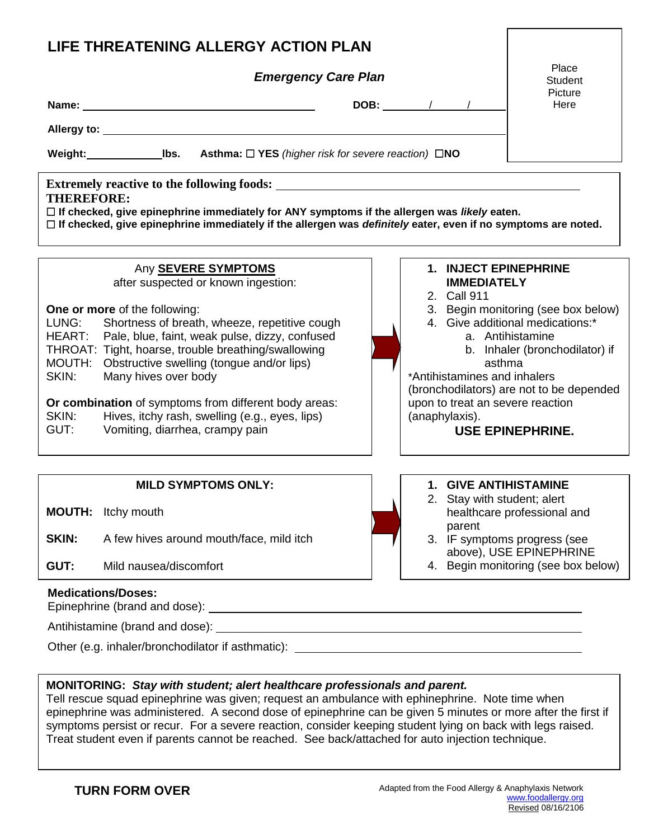| LIFE THREATENING ALLERGY ACTION PLAN                                                                                                                                                                                                                   |                                   |                                     |  |  |
|--------------------------------------------------------------------------------------------------------------------------------------------------------------------------------------------------------------------------------------------------------|-----------------------------------|-------------------------------------|--|--|
| <b>Emergency Care Plan</b>                                                                                                                                                                                                                             |                                   | Place<br>Student                    |  |  |
| Name: Name:                                                                                                                                                                                                                                            | <b>DOB:</b> / /                   | Picture<br>Here                     |  |  |
|                                                                                                                                                                                                                                                        |                                   |                                     |  |  |
| Weight: Ibs.<br><b>Asthma:</b> $\Box$ <b>YES</b> (higher risk for severe reaction) $\Box$ <b>NO</b>                                                                                                                                                    |                                   |                                     |  |  |
| <b>THEREFORE:</b><br>$\Box$ If checked, give epinephrine immediately for ANY symptoms if the allergen was likely eaten.<br>$\Box$ If checked, give epinephrine immediately if the allergen was <i>definitely</i> eater, even if no symptoms are noted. |                                   |                                     |  |  |
| Any <b>SEVERE SYMPTOMS</b>                                                                                                                                                                                                                             | 1. INJECT EPINEPHRINE             |                                     |  |  |
| after suspected or known ingestion:                                                                                                                                                                                                                    | <b>IMMEDIATELY</b><br>2. Call 911 |                                     |  |  |
| <b>One or more</b> of the following:                                                                                                                                                                                                                   |                                   | 3. Begin monitoring (see box below) |  |  |

- 4. Give additional medications:\*
	- a. Antihistamine
	- b. Inhaler (bronchodilator) if asthma

 (bronchodilators) are not to be depended upon to treat an severe reaction (anaphylaxis). \*Antihistamines and inhalers

## **USE EPINEPHRINE.**

**SKIN:** A few hives around mouth/face, mild itch 2. Stay with student; alert 3. IF symptoms progress (see above), USE EPINEPHRINE 4. Begin monitoring (see box below) **Medications/Doses: MILD SYMPTOMS ONLY: MOUTH:** Itchy mouth **GUT:** Mild nausea/discomfort **1. GIVE ANTIHISTAMINE**  healthcare professional and parent

## Epinephrine (brand and dose):

Antihistamine (brand and dose):

Other (e.g. inhaler/bronchodilator if asthmatic):

 LUNG: Shortness of breath, wheeze, repetitive cough HEART: Pale, blue, faint, weak pulse, dizzy, confused THROAT: Tight, hoarse, trouble breathing/swallowing MOUTH: Obstructive swelling (tongue and/or lips)

 **Or combination** of symptoms from different body areas: SKIN: Hives, itchy rash, swelling (e.g., eyes, lips)

GUT: Vomiting, diarrhea, crampy pain

SKIN: Many hives over body

## **MONITORING:** *Stay with student; alert healthcare professionals and parent.*

 Tell rescue squad epinephrine was given; request an ambulance with ephinephrine. Note time when epinephrine was administered. A second dose of epinephrine can be given 5 minutes or more after the first if symptoms persist or recur. For a severe reaction, consider keeping student lying on back with legs raised. Treat student even if parents cannot be reached. See back/attached for auto injection technique.